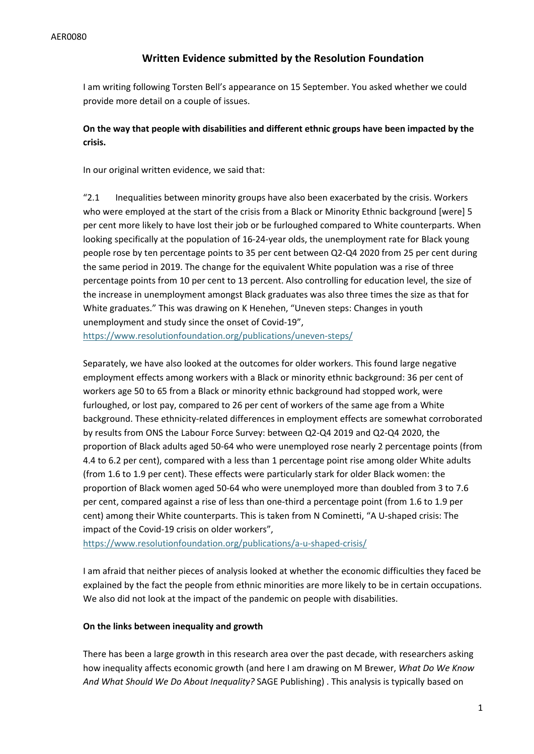## **Written Evidence submitted by the Resolution Foundation**

I am writing following Torsten Bell's appearance on 15 September. You asked whether we could provide more detail on a couple of issues.

## **On the way that people with disabilities and different ethnic groups have been impacted by the crisis.**

In our original written evidence, we said that:

"2.1 Inequalities between minority groups have also been exacerbated by the crisis. Workers who were employed at the start of the crisis from a Black or Minority Ethnic background [were] 5 per cent more likely to have lost their job or be furloughed compared to White counterparts. When looking specifically at the population of 16-24-year olds, the unemployment rate for Black young people rose by ten percentage points to 35 per cent between Q2-Q4 2020 from 25 per cent during the same period in 2019. The change for the equivalent White population was a rise of three percentage points from 10 per cent to 13 percent. Also controlling for education level, the size of the increase in unemployment amongst Black graduates was also three times the size as that for White graduates." This was drawing on K Henehen, "Uneven steps: Changes in youth unemployment and study since the onset of Covid-19", <https://www.resolutionfoundation.org/publications/uneven-steps/>

Separately, we have also looked at the outcomes for older workers. This found large negative employment effects among workers with a Black or minority ethnic background: 36 per cent of workers age 50 to 65 from a Black or minority ethnic background had stopped work, were furloughed, or lost pay, compared to 26 per cent of workers of the same age from a White background. These ethnicity-related differences in employment effects are somewhat corroborated by results from ONS the Labour Force Survey: between Q2-Q4 2019 and Q2-Q4 2020, the proportion of Black adults aged 50-64 who were unemployed rose nearly 2 percentage points (from 4.4 to 6.2 per cent), compared with a less than 1 percentage point rise among older White adults (from 1.6 to 1.9 per cent). These effects were particularly stark for older Black women: the proportion of Black women aged 50-64 who were unemployed more than doubled from 3 to 7.6 per cent, compared against a rise of less than one-third a percentage point (from 1.6 to 1.9 per cent) among their White counterparts. This is taken from N Cominetti, "A U-shaped crisis: The impact of the Covid-19 crisis on older workers",

<https://www.resolutionfoundation.org/publications/a-u-shaped-crisis/>

I am afraid that neither pieces of analysis looked at whether the economic difficulties they faced be explained by the fact the people from ethnic minorities are more likely to be in certain occupations. We also did not look at the impact of the pandemic on people with disabilities.

## **On the links between inequality and growth**

There has been a large growth in this research area over the past decade, with researchers asking how inequality affects economic growth (and here I am drawing on M Brewer, *What Do We Know And What Should We Do About Inequality?* SAGE Publishing) . This analysis is typically based on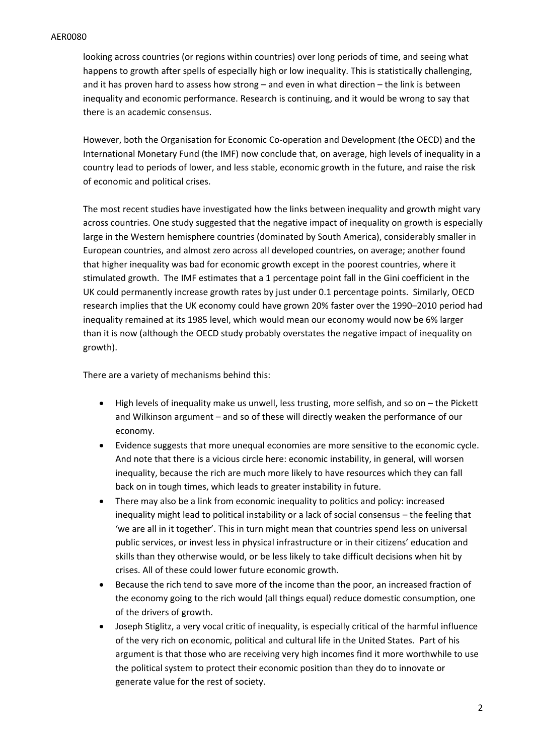## AER0080

looking across countries (or regions within countries) over long periods of time, and seeing what happens to growth after spells of especially high or low inequality. This is statistically challenging, and it has proven hard to assess how strong – and even in what direction – the link is between inequality and economic performance. Research is continuing, and it would be wrong to say that there is an academic consensus.

However, both the Organisation for Economic Co-operation and Development (the OECD) and the International Monetary Fund (the IMF) now conclude that, on average, high levels of inequality in a country lead to periods of lower, and less stable, economic growth in the future, and raise the risk of economic and political crises.

The most recent studies have investigated how the links between inequality and growth might vary across countries. One study suggested that the negative impact of inequality on growth is especially large in the Western hemisphere countries (dominated by South America), considerably smaller in European countries, and almost zero across all developed countries, on average; another found that higher inequality was bad for economic growth except in the poorest countries, where it stimulated growth. The IMF estimates that a 1 percentage point fall in the Gini coefficient in the UK could permanently increase growth rates by just under 0.1 percentage points. Similarly, OECD research implies that the UK economy could have grown 20% faster over the 1990–2010 period had inequality remained at its 1985 level, which would mean our economy would now be 6% larger than it is now (although the OECD study probably overstates the negative impact of inequality on growth).

There are a variety of mechanisms behind this:

- High levels of inequality make us unwell, less trusting, more selfish, and so on the Pickett and Wilkinson argument – and so of these will directly weaken the performance of our economy.
- Evidence suggests that more unequal economies are more sensitive to the economic cycle. And note that there is a vicious circle here: economic instability, in general, will worsen inequality, because the rich are much more likely to have resources which they can fall back on in tough times, which leads to greater instability in future.
- There may also be a link from economic inequality to politics and policy: increased inequality might lead to political instability or a lack of social consensus – the feeling that 'we are all in it together'. This in turn might mean that countries spend less on universal public services, or invest less in physical infrastructure or in their citizens' education and skills than they otherwise would, or be less likely to take difficult decisions when hit by crises. All of these could lower future economic growth.
- Because the rich tend to save more of the income than the poor, an increased fraction of the economy going to the rich would (all things equal) reduce domestic consumption, one of the drivers of growth.
- Joseph Stiglitz, a very vocal critic of inequality, is especially critical of the harmful influence of the very rich on economic, political and cultural life in the United States. Part of his argument is that those who are receiving very high incomes find it more worthwhile to use the political system to protect their economic position than they do to innovate or generate value for the rest of society.